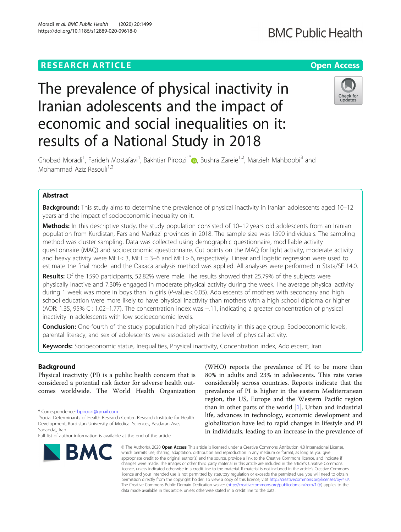### Moradi et al. BMC Public Health (2020) 20:1499 https://doi.org/10.1186/s12889-020-09618-0

**BMC Public Health** 

# The prevalence of physical inactivity in Iranian adolescents and the impact of economic and social inequalities on it: results of a National Study in 2018



Ghobad Moradi<sup>1</sup>[,](http://orcid.org/0000-0002-5387-3134) Farideh Mostafavi<sup>1</sup>, Bakhtiar Piroozi<sup>1\*</sup>. Bushra Zareie<sup>1,2</sup>, Marzieh Mahboobi<sup>3</sup> and Mohammad Aziz Rasouli $1,2$ 

# Abstract

Background: This study aims to determine the prevalence of physical inactivity in Iranian adolescents aged 10-12 years and the impact of socioeconomic inequality on it.

Methods: In this descriptive study, the study population consisted of 10-12 years old adolescents from an Iranian population from Kurdistan, Fars and Markazi provinces in 2018. The sample size was 1590 individuals. The sampling method was cluster sampling. Data was collected using demographic questionnaire, modifiable activity questionnaire (MAQ) and socioeconomic questionnaire. Cut points on the MAQ for light activity, moderate activity and heavy activity were MET< 3, MET = 3–6 and MET> 6, respectively. Linear and logistic regression were used to estimate the final model and the Oaxaca analysis method was applied. All analyses were performed in Stata/SE 14.0.

Results: Of the 1590 participants, 52.82% were male. The results showed that 25.79% of the subjects were physically inactive and 7.30% engaged in moderate physical activity during the week. The average physical activity during 1 week was more in boys than in girls (P-value< 0.05). Adolescents of mothers with secondary and high school education were more likely to have physical inactivity than mothers with a high school diploma or higher (AOR: 1.35, 95% CI: 1.02–1.77). The concentration index was −.11, indicating a greater concentration of physical inactivity in adolescents with low socioeconomic levels.

**Conclusion:** One-fourth of the study population had physical inactivity in this age group. Socioeconomic levels, parental literacy, and sex of adolescents were associated with the level of physical activity.

Keywords: Socioeconomic status, Inequalities, Physical inactivity, Concentration index, Adolescent, Iran

# Background

Physical inactivity (PI) is a public health concern that is considered a potential risk factor for adverse health outcomes worldwide. The World Health Organization

Full list of author information is available at the end of the article



(WHO) reports the prevalence of PI to be more than 80% in adults and 23% in adolescents. This rate varies considerably across countries. Reports indicate that the prevalence of PI is higher in the eastern Mediterranean region, the US, Europe and the Western Pacific region than in other parts of the world  $[1]$  $[1]$ . Urban and industrial life, advances in technology, economic development and globalization have led to rapid changes in lifestyle and PI in individuals, leading to an increase in the prevalence of

© The Author(s), 2020 **Open Access** This article is licensed under a Creative Commons Attribution 4.0 International License, which permits use, sharing, adaptation, distribution and reproduction in any medium or format, as long as you give appropriate credit to the original author(s) and the source, provide a link to the Creative Commons licence, and indicate if changes were made. The images or other third party material in this article are included in the article's Creative Commons licence, unless indicated otherwise in a credit line to the material. If material is not included in the article's Creative Commons licence and your intended use is not permitted by statutory regulation or exceeds the permitted use, you will need to obtain permission directly from the copyright holder. To view a copy of this licence, visit [http://creativecommons.org/licenses/by/4.0/.](http://creativecommons.org/licenses/by/4.0/) The Creative Commons Public Domain Dedication waiver [\(http://creativecommons.org/publicdomain/zero/1.0/](http://creativecommons.org/publicdomain/zero/1.0/)) applies to the data made available in this article, unless otherwise stated in a credit line to the data.

<sup>\*</sup> Correspondence: [bpiroozi@gmail.com](mailto:bpiroozi@gmail.com) <sup>1</sup>

<sup>&</sup>lt;sup>1</sup>Social Determinants of Health Research Center, Research Institute for Health Development, Kurdistan University of Medical Sciences, Pasdaran Ave, Sanandaj, Iran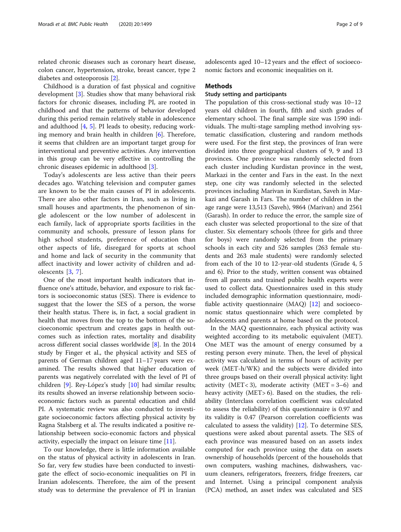related chronic diseases such as coronary heart disease, colon cancer, hypertension, stroke, breast cancer, type 2 diabetes and osteoporosis [[2](#page-7-0)].

Childhood is a duration of fast physical and cognitive development [[3](#page-7-0)]. Studies show that many behavioral risk factors for chronic diseases, including PI, are rooted in childhood and that the patterns of behavior developed during this period remain relatively stable in adolescence and adulthood  $[4, 5]$  $[4, 5]$  $[4, 5]$  $[4, 5]$ . PI leads to obesity, reducing working memory and brain health in children [\[6](#page-7-0)]. Therefore, it seems that children are an important target group for interventional and preventive activities. Any intervention in this group can be very effective in controlling the chronic diseases epidemic in adulthood [\[3\]](#page-7-0).

Today's adolescents are less active than their peers decades ago. Watching television and computer games are known to be the main causes of PI in adolescents. There are also other factors in Iran, such as living in small houses and apartments, the phenomenon of single adolescent or the low number of adolescent in each family, lack of appropriate sports facilities in the community and schools, pressure of lesson plans for high school students, preference of education than other aspects of life, disregard for sports at school and home and lack of security in the community that affect inactivity and lower activity of children and adolescents [[3,](#page-7-0) [7\]](#page-7-0).

One of the most important health indicators that influence one's attitude, behavior, and exposure to risk factors is socioeconomic status (SES). There is evidence to suggest that the lower the SES of a person, the worse their health status. There is, in fact, a social gradient in health that moves from the top to the bottom of the socioeconomic spectrum and creates gaps in health outcomes such as infection rates, mortality and disability across different social classes worldwide [[8\]](#page-7-0). In the 2014 study by Finger et al., the physical activity and SES of parents of German children aged 11–17 years were examined. The results showed that higher education of parents was negatively correlated with the level of PI of children [[9](#page-7-0)]. Rey-López's study [[10\]](#page-7-0) had similar results; its results showed an inverse relationship between socioeconomic factors such as parental education and child PI. A systematic review was also conducted to investigate socioeconomic factors affecting physical activity by Ragna Stalsberg et al. The results indicated a positive relationship between socio-economic factors and physical activity, especially the impact on leisure time [[11\]](#page-7-0).

To our knowledge, there is little information available on the status of physical activity in adolescents in Iran. So far, very few studies have been conducted to investigate the effect of socio-economic inequalities on PI in Iranian adolescents. Therefore, the aim of the present study was to determine the prevalence of PI in Iranian

adolescents aged 10–12 years and the effect of socioeconomic factors and economic inequalities on it.

#### Methods

# Study setting and participants

The population of this cross-sectional study was 10–12 years old children in fourth, fifth and sixth grades of elementary school. The final sample size was 1590 individuals. The multi-stage sampling method involving systematic classification, clustering and random methods were used. For the first step, the provinces of Iran were divided into three geographical clusters of 9, 9 and 13 provinces. One province was randomly selected from each cluster including Kurdistan province in the west, Markazi in the center and Fars in the east. In the next step, one city was randomly selected in the selected provinces including Marivan in Kurdistan, Saveh in Markazi and Garash in Fars. The number of children in the age range were 13,513 (Saveh), 9864 (Marivan) and 2561 (Garash). In order to reduce the error, the sample size of each cluster was selected proportional to the size of that cluster. Six elementary schools (three for girls and three for boys) were randomly selected from the primary schools in each city and 526 samples (263 female students and 263 male students) were randomly selected from each of the 10 to 12-year-old students (Grade 4, 5 and 6). Prior to the study, written consent was obtained from all parents and trained public health experts were used to collect data. Questionnaires used in this study included demographic information questionnaire, modifiable activity questionnaire (MAQ) [[12\]](#page-7-0) and socioeconomic status questionnaire which were completed by adolescents and parents at home based on the protocol.

In the MAQ questionnaire, each physical activity was weighted according to its metabolic equivalent (MET). One MET was the amount of energy consumed by a resting person every minute. Then, the level of physical activity was calculated in terms of hours of activity per week (MET-h/WK) and the subjects were divided into three groups based on their overall physical activity: light activity (MET<3), moderate activity (MET =  $3-6$ ) and heavy activity (MET> 6). Based on the studies, the reliability (Interclass correlation coefficient was calculated to assess the reliability) of this questionnaire is 0.97 and its validity is 0.47 (Pearson correlation coefficients was calculated to assess the validity) [[12\]](#page-7-0). To determine SES, questions were asked about parental assets. The SES of each province was measured based on an assets index computed for each province using the data on assets ownership of households (percent of the households that own computers, washing machines, dishwashers, vacuum cleaners, refrigerators, freezers, fridge freezers, car and Internet. Using a principal component analysis (PCA) method, an asset index was calculated and SES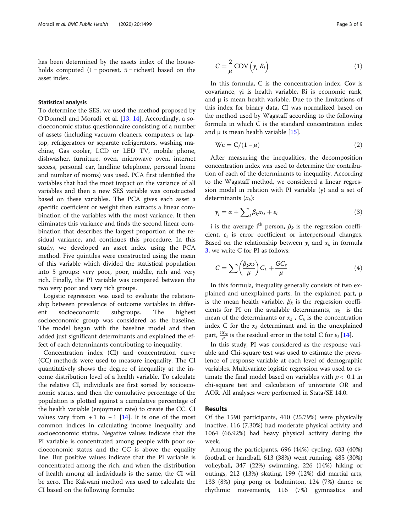has been determined by the assets index of the households computed  $(1 =$  poorest,  $5 =$  richest) based on the asset index.

#### Statistical analysis

To determine the SES, we used the method proposed by O'Donnell and Moradi, et al. [\[13,](#page-7-0) [14](#page-7-0)]. Accordingly, a socioeconomic status questionnaire consisting of a number of assets (including vacuum cleaners, computers or laptop, refrigerators or separate refrigerators, washing machine, Gas cooler, LCD or LED TV, mobile phone, dishwasher, furniture, oven, microwave oven, internet access, personal car, landline telephone, personal home and number of rooms) was used. PCA first identified the variables that had the most impact on the variance of all variables and then a new SES variable was constructed based on these variables. The PCA gives each asset a specific coefficient or weight then extracts a linear combination of the variables with the most variance. It then eliminates this variance and finds the second linear combination that describes the largest proportion of the residual variance, and continues this procedure. In this study, we developed an asset index using the PCA method. Five quintiles were constructed using the mean of this variable which divided the statistical population into 5 groups: very poor, poor, middle, rich and very rich. Finally, the PI variable was compared between the two very poor and very rich groups.

Logistic regression was used to evaluate the relationship between prevalence of outcome variables in different socioeconomic subgroups. The highest socioeconomic group was considered as the baseline. The model began with the baseline model and then added just significant determinants and explained the effect of each determinants contributing to inequality.

Concentration index (CI) and concentration curve (CC) methods were used to measure inequality. The CI quantitatively shows the degree of inequality at the income distribution level of a health variable. To calculate the relative CI, individuals are first sorted by socioeconomic status, and then the cumulative percentage of the population is plotted against a cumulative percentage of the health variable (enjoyment rate) to create the CC. CI values vary from + 1 to − 1 [[14\]](#page-7-0). It is one of the most common indices in calculating income inequality and socioeconomic status. Negative values indicate that the PI variable is concentrated among people with poor socioeconomic status and the CC is above the equality line. But positive values indicate that the PI variable is concentrated among the rich, and when the distribution of health among all individuals is the same, the CI will be zero. The Kakwani method was used to calculate the CI based on the following formula:

$$
C = \frac{2}{\mu} \text{COV} \left( y_{i,} R_{i} \right) \tag{1}
$$

In this formula, C is the concentration index, Cov is covariance, yi is health variable, Ri is economic rank, and  $\mu$  is mean health variable. Due to the limitations of this index for binary data, CI was normalized based on the method used by Wagstaff according to the following formula in which C is the standard concentration index and  $\mu$  is mean health variable [\[15](#page-7-0)].

$$
Wc = C/(1 - \mu)
$$
 (2)

After measuring the inequalities, the decomposition concentration index was used to determine the contribution of each of the determinants to inequality. According to the Wagstaff method, we considered a linear regression model in relation with PI variable (y) and a set of determinants  $(x_k)$ :

$$
y_i = \alpha + \sum_{k} \beta_k x_{ki} + \varepsilon_i \tag{3}
$$

i is the average i<sup>th</sup> person,  $\beta_k$  is the regression coefficient,  $\varepsilon_i$  is error coefficient or interpersonal changes. Based on the relationship between  $y_i$  and  $x_k$  in formula 3, we write C for PI as follows:

$$
C = \sum \left(\frac{\beta_k \overline{x}_k}{\mu}\right) C_k + \frac{GC_{\varepsilon}}{\mu} \tag{4}
$$

In this formula, inequality generally consists of two explained and unexplained parts. In the explained part, μ is the mean health variable,  $\beta_k$  is the regression coefficients for PI on the available determinants,  $\overline{x}_k$  is the mean of the determinants or  $x_k$ ,  $C_k$  is the concentration index C for the  $x_k$  determinant and in the unexplained part,  $\frac{GC_{\varepsilon}}{\mu}$  is the residual error in the total C for  $\varepsilon_i$  [\[14](#page-7-0)].

In this study, PI was considered as the response variable and Chi-square test was used to estimate the prevalence of response variable at each level of demographic variables. Multivariate logistic regression was used to estimate the final model based on variables with  $p < 0.1$  in chi-square test and calculation of univariate OR and AOR. All analyses were performed in Stata/SE 14.0.

#### Results

Of the 1590 participants, 410 (25.79%) were physically inactive, 116 (7.30%) had moderate physical activity and 1064 (66.92%) had heavy physical activity during the week.

Among the participants, 696 (44%) cycling, 633 (40%) football or handball, 613 (38%) went running, 485 (30%) volleyball, 347 (22%) swimming, 226 (14%) hiking or outings, 212 (13%) skating, 199 (12%) did martial arts, 133 (8%) ping pong or badminton, 124 (7%) dance or rhythmic movements, 116 (7%) gymnastics and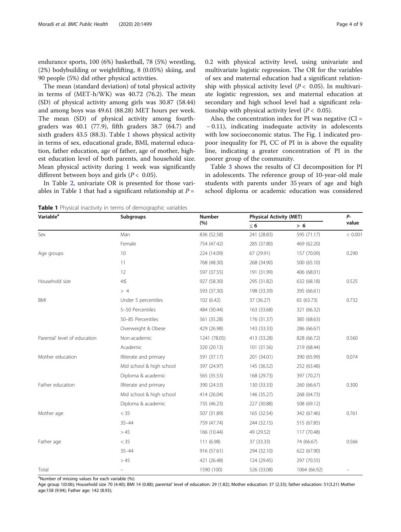endurance sports, 100 (6%) basketball, 78 (5%) wrestling, (2%) bodybuilding or weightlifting, 8 (0.05%) skiing, and 90 people (5%) did other physical activities.

The mean (standard deviation) of total physical activity in terms of (MET-h/WK) was 40.72 (76.2). The mean (SD) of physical activity among girls was 30.87 (58.44) and among boys was 49.61 (88.28) MET hours per week. The mean (SD) of physical activity among fourthgraders was 40.1 (77.9), fifth graders 38.7 (64.7) and sixth graders 43.5 (88.3). Table 1 shows physical activity in terms of sex, educational grade, BMI, maternal education, father education, age of father, age of mother, highest education level of both parents, and household size. Mean physical activity during 1 week was significantly different between boys and girls ( $P < 0.05$ ).

In Table [2](#page-4-0), univariate OR is presented for those variables in Table 1 that had a significant relationship at  $P =$ 

0.2 with physical activity level, using univariate and multivariate logistic regression. The OR for the variables of sex and maternal education had a significant relationship with physical activity level ( $P < 0.05$ ). In multivariate logistic regression, sex and maternal education at secondary and high school level had a significant relationship with physical activity level ( $P < 0.05$ ).

Also, the concentration index for PI was negative  $(Cl =$ − 0.11), indicating inadequate activity in adolescents with low socioeconomic status. The Fig. [1](#page-4-0) indicated propoor inequality for PI, CC of PI in is above the equality line, indicating a greater concentration of PI in the poorer group of the community.

Table [3](#page-5-0) shows the results of CI decomposition for PI in adolescents. The reference group of 10-year-old male students with parents under 35 years of age and high school diploma or academic education was considered

| Variable <sup>a</sup>        | Subgroups                | <b>Number</b><br>(%) | <b>Physical Activity (MET)</b> |              | <b>P</b> - |
|------------------------------|--------------------------|----------------------|--------------------------------|--------------|------------|
|                              |                          |                      | $\leq 6$                       | > 6          | value      |
| Sex                          | Man                      | 836 (52.58)          | 241 (28.83)                    | 595 (71.17)  | < 0.001    |
|                              | Female                   | 754 (47.42)          | 285 (37.80)                    | 469 (62.20)  |            |
| Age groups                   | 10                       | 224 (14.09)          | 67 (29.91)                     | 157 (70.09)  | 0.290      |
|                              | 11                       | 768 (48.30)          | 268 (34.90)                    | 500 (65.10)  |            |
|                              | 12                       | 597 (37.55)          | 191 (31.99)                    | 406 (68.01)  |            |
| Household size               | $4\leq$                  | 927 (58.30)          | 295 (31.82)                    | 632 (68.18)  | 0.525      |
|                              | >4                       | 593 (37.30)          | 198 (33.39)                    | 395 (66.61)  |            |
| <b>BMI</b>                   | Under 5 percentiles      | 102 (6.42)           | 37 (36.27)                     | 65 (63.73)   | 0.732      |
|                              | 5-50 Percentiles         | 484 (30.44)          | 163 (33.68)                    | 321 (66.32)  |            |
|                              | 50-85 Percentiles        | 561 (35.28)          | 176 (31.37)                    | 385 (68.63)  |            |
|                              | Overweight & Obese       | 429 (26.98)          | 143 (33.33)                    | 286 (66.67)  |            |
| Parental' level of education | Non-academic             | 1241 (78.05)         | 413 (33.28)                    | 828 (66.72)  | 0.560      |
|                              | Academic                 | 320 (20.13)          | 101 (31.56)                    | 219 (68.44)  |            |
| Mother education             | Illiterate and primary   | 591 (37.17)          | 201 (34.01)                    | 390 (65.99)  | 0.074      |
|                              | Mid school & high school | 397 (24.97)          | 145 (36.52)                    | 252 (63.48)  |            |
|                              | Diploma & academic       | 565 (35.53)          | 168 (29.73)                    | 397 (70.27)  |            |
| Father education             | Illiterate and primary   | 390 (24.53)          | 130 (33.33)                    | 260 (66.67)  | 0.300      |
|                              | Mid school & high school | 414 (26.04)          | 146 (35.27)                    | 268 (64.73)  |            |
|                              | Diploma & academic       | 735 (46.23)          | 227 (30.88)                    | 508 (69.12)  |            |
| Mother age                   | < 35                     | 507 (31.89)          | 165 (32.54)                    | 342 (67.46)  | 0.761      |
|                              | $35 - 44$                | 759 (47.74)          | 244 (32.15)                    | 515 (67.85)  |            |
|                              | >45                      | 166 (10.44)          | 49 (29.52)                     | 117 (70.48)  |            |
| Father age                   | < 35                     | 111 (6.98)           | 37 (33.33)                     | 74 (66.67)   | 0.566      |
|                              | $35 - 44$                | 916 (57.61)          | 294 (32.10)                    | 622 (67.90)  |            |
|                              | >45                      | 421 (26.48)          | 124 (29.45)                    | 297 (70.55)  |            |
| Total                        | ÷                        | 1590 (100)           | 526 (33.08)                    | 1064 (66.92) |            |

Table 1 Physical inactivity in terms of demographic variables

<sup>a</sup>Number of missing values for each variable (%):

Age group 1(0.06); Household size 70 (4.40); BMI 14 (0.88); parental' level of education: 29 (1.82); Mother education: 37 (2.33); father education: 51(3.21) Mother age:158 (9.94); Father age: 142 (8.93);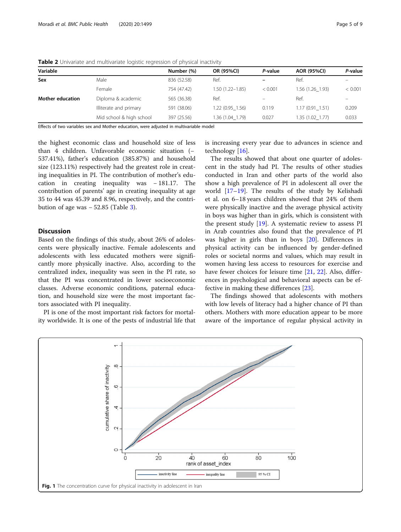|                          | Number (%)  | OR (95%CI)       | P-value | <b>AOR (95%CI)</b> | P-value |
|--------------------------|-------------|------------------|---------|--------------------|---------|
| Male                     | 836 (52.58) | Ref.             |         | Ref.               |         |
| Female                   | 754 (47.42) | 1.50 (1.22-1.85) | < 0.001 | 1.56 (1.26 1.93)   | < 0.001 |
| Diploma & academic       | 565 (36.38) | Ref.             |         | Ref.               |         |
| Illiterate and primary   | 591 (38.06) | 1.22 (0.95 1.56) | 0.119   | $1.17(0.91\_1.51)$ | 0.209   |
| Mid school & high school | 397 (25.56) | 1.36 (1.04 1.79) | 0.027   | 1.35 (1.02 1.77)   | 0.033   |
|                          |             |                  |         |                    |         |

<span id="page-4-0"></span>Table 2 Univariate and multivariate logistic regression of physical inactivity

Effects of two variables sex and Mother education, were adjusted in multivariable model

the highest economic class and household size of less than 4 children. Unfavorable economic situation (− 537.41%), father's education (385.87%) and household size (123.11%) respectively had the greatest role in creating inequalities in PI. The contribution of mother's education in creating inequality was − 181.17. The contribution of parents' age in creating inequality at age 35 to 44 was 45.39 and 8.96, respectively, and the contribution of age was − 52.85 (Table [3](#page-5-0)).

# **Discussion**

Based on the findings of this study, about 26% of adolescents were physically inactive. Female adolescents and adolescents with less educated mothers were significantly more physically inactive. Also, according to the centralized index, inequality was seen in the PI rate, so that the PI was concentrated in lower socioeconomic classes. Adverse economic conditions, paternal education, and household size were the most important factors associated with PI inequality.

PI is one of the most important risk factors for mortality worldwide. It is one of the pests of industrial life that is increasing every year due to advances in science and technology [\[16](#page-7-0)].

The results showed that about one quarter of adolescent in the study had PI. The results of other studies conducted in Iran and other parts of the world also show a high prevalence of PI in adolescent all over the world [[17](#page-7-0)–[19](#page-7-0)]. The results of the study by Kelishadi et al. on 6–18 years children showed that 24% of them were physically inactive and the average physical activity in boys was higher than in girls, which is consistent with the present study [\[19\]](#page-7-0). A systematic review to assess PI in Arab countries also found that the prevalence of PI was higher in girls than in boys [\[20](#page-7-0)]. Differences in physical activity can be influenced by gender-defined roles or societal norms and values, which may result in women having less access to resources for exercise and have fewer choices for leisure time [[21](#page-7-0), [22\]](#page-7-0). Also, differences in psychological and behavioral aspects can be effective in making these differences [\[23\]](#page-7-0).

The findings showed that adolescents with mothers with low levels of literacy had a higher chance of PI than others. Mothers with more education appear to be more aware of the importance of regular physical activity in

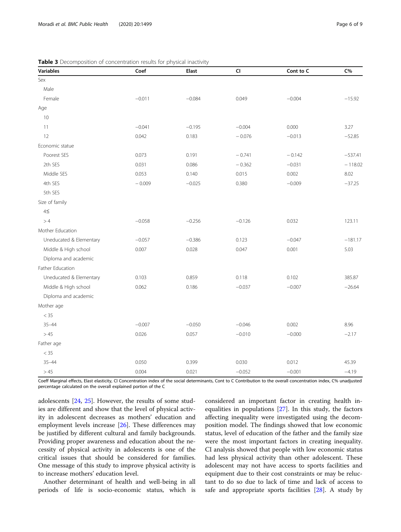| Variables               | Coef     | Elast    | C1       | Cont to C | $\mathsf{C}\%$ |
|-------------------------|----------|----------|----------|-----------|----------------|
| Sex                     |          |          |          |           |                |
| Male                    |          |          |          |           |                |
| Female                  | $-0.011$ | $-0.084$ | 0.049    | $-0.004$  | $-15.92$       |
| Age                     |          |          |          |           |                |
| 10                      |          |          |          |           |                |
| 11                      | $-0.041$ | $-0.195$ | $-0.004$ | 0.000     | 3.27           |
| 12                      | 0.042    | 0.183    | $-0.076$ | $-0.013$  | $-52.85$       |
| Economic statue         |          |          |          |           |                |
| Poorest SES             | 0.073    | 0.191    | $-0.741$ | $-0.142$  | $-537.41$      |
| 2th SES                 | 0.031    | 0.086    | $-0.362$ | $-0.031$  | $-118.02$      |
| Middle SES              | 0.053    | 0.140    | 0.015    | 0.002     | 8.02           |
| 4th SES                 | $-0.009$ | $-0.025$ | 0.380    | $-0.009$  | $-37.25$       |
| 5th SES                 |          |          |          |           |                |
| Size of family          |          |          |          |           |                |
| $4\leq$                 |          |          |          |           |                |
| >4                      | $-0.058$ | $-0.256$ | $-0.126$ | 0.032     | 123.11         |
| Mother Education        |          |          |          |           |                |
| Uneducated & Elementary | $-0.057$ | $-0.386$ | 0.123    | $-0.047$  | $-181.17$      |
| Middle & High school    | 0.007    | 0.028    | 0.047    | 0.001     | 5.03           |
| Diploma and academic    |          |          |          |           |                |
| Father Education        |          |          |          |           |                |
| Uneducated & Elementary | 0.103    | 0.859    | 0.118    | 0.102     | 385.87         |
| Middle & High school    | 0.062    | 0.186    | $-0.037$ | $-0.007$  | $-26.64$       |
| Diploma and academic    |          |          |          |           |                |
| Mother age              |          |          |          |           |                |
| $<$ 35                  |          |          |          |           |                |
| $35 - 44$               | $-0.007$ | $-0.050$ | $-0.046$ | 0.002     | 8.96           |
| >45                     | 0.026    | 0.057    | $-0.010$ | $-0.000$  | $-2.17$        |
| Father age              |          |          |          |           |                |
| $<$ 35                  |          |          |          |           |                |
| $35 - 44$               | 0.050    | 0.399    | 0.030    | 0.012     | 45.39          |
| >45                     | 0.004    | 0.021    | $-0.052$ | $-0.001$  | $-4.19$        |

<span id="page-5-0"></span>

|  |  | <b>Table 3</b> Decomposition of concentration results for physical inactivity |
|--|--|-------------------------------------------------------------------------------|
|--|--|-------------------------------------------------------------------------------|

Coeff Marginal effects, Elast elasticity, CI Concentration index of the social determinants, Cont to C Contribution to the overall concentration index, C% unadjusted percentage calculated on the overall explained portion of the C

adolescents [\[24,](#page-7-0) [25](#page-7-0)]. However, the results of some studies are different and show that the level of physical activity in adolescent decreases as mothers' education and employment levels increase [\[26\]](#page-7-0). These differences may be justified by different cultural and family backgrounds. Providing proper awareness and education about the necessity of physical activity in adolescents is one of the critical issues that should be considered for families. One message of this study to improve physical activity is to increase mothers' education level.

Another determinant of health and well-being in all periods of life is socio-economic status, which is considered an important factor in creating health inequalities in populations [[27](#page-7-0)]. In this study, the factors affecting inequality were investigated using the decomposition model. The findings showed that low economic status, level of education of the father and the family size were the most important factors in creating inequality. CI analysis showed that people with low economic status had less physical activity than other adolescent. These adolescent may not have access to sports facilities and equipment due to their cost constraints or may be reluctant to do so due to lack of time and lack of access to safe and appropriate sports facilities [\[28](#page-7-0)]. A study by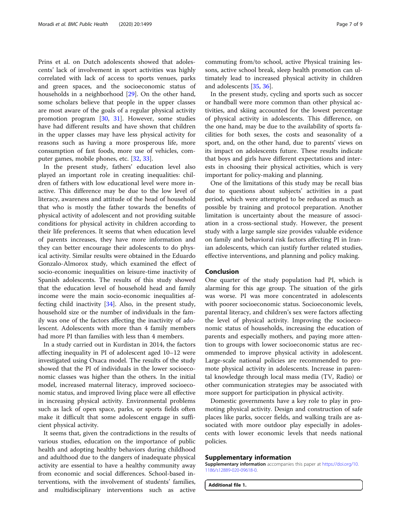Prins et al. on Dutch adolescents showed that adolescents' lack of involvement in sport activities was highly correlated with lack of access to sports venues, parks and green spaces, and the socioeconomic status of households in a neighborhood [\[29](#page-7-0)]. On the other hand, some scholars believe that people in the upper classes are most aware of the goals of a regular physical activity promotion program [[30](#page-7-0), [31\]](#page-8-0). However, some studies have had different results and have shown that children in the upper classes may have less physical activity for reasons such as having a more prosperous life, more consumption of fast foods, more use of vehicles, computer games, mobile phones, etc. [\[32](#page-8-0), [33](#page-8-0)].

In the present study, fathers' education level also played an important role in creating inequalities: children of fathers with low educational level were more inactive. This difference may be due to the low level of literacy, awareness and attitude of the head of household that who is mostly the father towards the benefits of physical activity of adolescent and not providing suitable conditions for physical activity in children according to their life preferences. It seems that when education level of parents increases, they have more information and they can better encourage their adolescents to do physical activity. Similar results were obtained in the Eduardo Gonzalo-Almorox study, which examined the effect of socio-economic inequalities on leisure-time inactivity of Spanish adolescents. The results of this study showed that the education level of household head and family income were the main socio-economic inequalities affecting child inactivity [[34\]](#page-8-0). Also, in the present study, household size or the number of individuals in the family was one of the factors affecting the inactivity of adolescent. Adolescents with more than 4 family members had more PI than families with less than 4 members.

In a study carried out in Kurdistan in 2014, the factors affecting inequality in PI of adolescent aged 10–12 were investigated using Oxaca model. The results of the study showed that the PI of individuals in the lower socioeconomic classes was higher than the others. In the initial model, increased maternal literacy, improved socioeconomic status, and improved living place were all effective in increasing physical activity. Environmental problems such as lack of open space, parks, or sports fields often make it difficult that some adolescent engage in sufficient physical activity.

It seems that, given the contradictions in the results of various studies, education on the importance of public health and adopting healthy behaviors during childhood and adulthood due to the dangers of inadequate physical activity are essential to have a healthy community away from economic and social differences. School-based interventions, with the involvement of students' families, and multidisciplinary interventions such as active

commuting from/to school, active Physical training lessons, active school break, sleep health promotion can ultimately lead to increased physical activity in children and adolescents [\[35](#page-8-0), [36](#page-8-0)].

In the present study, cycling and sports such as soccer or handball were more common than other physical activities, and skiing accounted for the lowest percentage of physical activity in adolescents. This difference, on the one hand, may be due to the availability of sports facilities for both sexes, the costs and seasonality of a sport, and, on the other hand, due to parents' views on its impact on adolescents future. These results indicate that boys and girls have different expectations and interests in choosing their physical activities, which is very important for policy-making and planning.

One of the limitations of this study may be recall bias due to questions about subjects' activities in a past period, which were attempted to be reduced as much as possible by training and protocol preparation. Another limitation is uncertainty about the measure of association in a cross-sectional study. However, the present study with a large sample size provides valuable evidence on family and behavioral risk factors affecting PI in Iranian adolescents, which can justify further related studies, effective interventions, and planning and policy making.

## Conclusion

One quarter of the study population had PI, which is alarming for this age group. The situation of the girls was worse. PI was more concentrated in adolescents with poorer socioeconomic status. Socioeconomic levels, parental literacy, and children's sex were factors affecting the level of physical activity. Improving the socioeconomic status of households, increasing the education of parents and especially mothers, and paying more attention to groups with lower socioeconomic status are recommended to improve physical activity in adolescent. Large-scale national policies are recommended to promote physical activity in adolescents. Increase in parental knowledge through local mass media (TV, Radio) or other communication strategies may be associated with more support for participation in physical activity.

Domestic governments have a key role to play in promoting physical activity. Design and construction of safe places like parks, soccer fields, and walking trails are associated with more outdoor play especially in adolescents with lower economic levels that needs national policies.

### Supplementary information

Supplementary information accompanies this paper at [https://doi.org/10.](https://doi.org/10.1186/s12889-020-09618-0) [1186/s12889-020-09618-0](https://doi.org/10.1186/s12889-020-09618-0).

Additional file 1.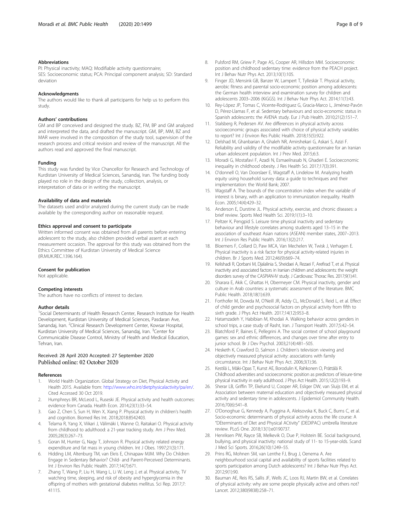#### <span id="page-7-0"></span>Abbreviations

PI: Physical inactivity; MAQ: Modifiable activity questionnaire; SES: Socioeconomic status; PCA: Principal component analysis; SD: Standard deviation

#### Acknowledgments

The authors would like to thank all participants for help us to perform this study.

#### Authors' contributions

GM and BP conceived and designed the study. BZ, FM, BP and GM analyzed and interpreted the data, and drafted the manuscript. GM, BP, MM, BZ and MAR were involved in the composition of the study tool, supervision of the research process and critical revision and review of the manuscript. All the authors read and approved the final manuscript.

#### Funding

This study was funded by Vice Chancellor for Research and Technology of Kurdistan University of Medical Sciences, Sanandaj, Iran. The funding body played no role in the design of the study, collection, analysis, or interpretation of data or in writing the manuscript.

#### Availability of data and materials

The datasets used and/or analyzed during the current study can be made available by the corresponding author on reasonable request.

#### Ethics approval and consent to participate

Written informed consent was obtained from all parents before entering adolescent to the study, also children provided verbal assent at each measurement occasion. The approval for this study was obtained from the Ethics Committee of Kurdistan University of Medical Science (IR.MUK.REC.1396.164).

#### Consent for publication

Not applicable.

#### Competing interests

The authors have no conflicts of interest to declare.

#### Author details

<sup>1</sup>Social Determinants of Health Research Center, Research Institute for Health Development, Kurdistan University of Medical Sciences, Pasdaran Ave, Sanandaj, Iran. <sup>2</sup>Clinical Research Development Center, Kowsar Hospital, Kurdistan University of Medical Sciences, Sanandaj, Iran. <sup>3</sup>Center for Communicable Disease Control, Ministry of Health and Medical Education, Tehran, Iran.

#### Received: 28 April 2020 Accepted: 27 September 2020 Published online: 02 October 2020

#### References

- 1. World Health Organization. Global Strategy on Diet, Physical Activity and Health 2015. Available from: [http://www.who.int/dietphysicalactivity/pa/en/.](http://www.who.int/dietphysicalactivity/pa/en/) Cited Accessed 30 Oct 2019.
- 2. Humphreys BR, McLeod L, Ruseski JE. Physical activity and health outcomes: evidence from Canada. Health Econ. 2014;23(1):33–54.
- 3. Gao Z, Chen S, Sun H, Wen X, Xiang P. Physical activity in children's health and cognition. Biomed Res Int. 2018;2018:8542403.
- 4. Telama R, Yang X, Viikari J, Välimäki I, Wanne O, Raitakari O. Physical activity from childhood to adulthood: a 21-year tracking study. Am J Prev Med. 2005;28(3):267–73.
- 5. Goran M, Hunter G, Nagy T, Johnson R. Physical activity related energy expenditure and fat mass in young children. Int J Obes. 1997;21(3):171.
- 6. Hidding LM, Altenburg TM, van Ekris E, Chinapaw MJM. Why Do Children Engage in Sedentary Behavior? Child- and Parent-Perceived Determinants. Int J Environ Res Public Health. 2017;14(7):671.
- Zhang T, Wang P, Liu H, Wang L, Li W, Leng J, et al. Physical activity, TV watching time, sleeping, and risk of obesity and hyperglycemia in the offspring of mothers with gestational diabetes mellitus. Sci Rep. 2017;7: 41115.
- 8. Pulsford RM, Griew P, Page AS, Cooper AR, Hillsdon MM. Socioeconomic position and childhood sedentary time: evidence from the PEACH project. Int J Behav Nutr Phys Act. 2013;10(1):105.
- 9. Finger JD, Mensink GB, Banzer W, Lampert T, Tylleskär T. Physical activity, aerobic fitness and parental socio-economic position among adolescents: the German health interview and examination survey for children and adolescents 2003–2006 (KiGGS). Int J Behav Nutr Phys Act. 2014;11(1):43.
- 10. Rey-López JP, Tomas C, Vicente-Rodriguez G, Gracia-Marco L, Jiménez-Pavón D, Pérez-Llamas F, et al. Sedentary behaviours and socio-economic status in Spanish adolescents: the AVENA study. Eur J Pub Health. 2010;21(2):151–7.
- 11. Stalsberg R, Pedersen AV. Are differences in physical activity across socioeconomic groups associated with choice of physical activity variables to report? Int J Environ Res Public Health. 2018;15(5):922.
- 12. Delshad M, Ghanbarian A, Ghaleh NR, Amirshekari G, Askari S, Azizi F. Reliability and validity of the modifiable activity questionnaire for an Iranian urban adolescent population. Int J Prev Med. 2015;6:3.
- 13. Moradi G, Mostafavi F, Azadi N, Esmaeilnasab N, Ghaderi E. Socioeconomic inequality in childhood obesity. J Res Health Sci. 2017;17(3):391.
- 14. O'donnell O, Van Doorslaer E, Wagstaff A, Lindelow M. Analyzing health equity using household survey data: a guide to techniques and their implementation: the World Bank; 2007.
- 15. Wagstaff A. The bounds of the concentration index when the variable of interest is binary, with an application to immunization inequality. Health Econ. 2005;14(4):429–32.
- 16. Anderson E, Durstine JL. Physical activity, exercise, and chronic diseases: a brief review. Sports Med Health Sci. 2019;1(1):3–10.
- 17. Peltzer K, Pengpid S. Leisure time physical inactivity and sedentary behaviour and lifestyle correlates among students aged 13–15 in the association of southeast Asian nations (ASEAN) member states, 2007–2013. Int J Environ Res Public Health. 2016;13(2):217.
- 18. Bloemers F, Collard D, Paw MCA, Van Mechelen W, Twisk J, Verhagen E. Physical inactivity is a risk factor for physical activity-related injuries in children. Br J Sports Med. 2012;46(9):669–74.
- 19. Kelishadi R, Qorbani M, Djalalinia S, Sheidaei A, Rezaei F, Arefirad T, et al. Physical inactivity and associated factors in Iranian children and adolescents: the weight disorders survey of the CASPIAN-IV study. J Cardiovasc Thorac Res. 2017;9(1):41.
- 20. Sharara E, Akik C, Ghattas H, Obermeyer CM. Physical inactivity, gender and culture in Arab countries: a systematic assessment of the literature. BMC Public Health. 2018;18(1):639.
- 21. Forthofer M, Dowda M, O'Neill JR, Addy CL, McDonald S, Reid L, et al. Effect of child gender and psychosocial factors on physical activity from fifth to sixth grade. J Phys Act Health. 2017;14(12):953–8.
- 22. Hatamzadeh Y, Habibian M, Khodaii A. Walking behavior across genders in school trips, a case study of Rasht, Iran. J Transport Health. 2017;5:42–54.
- 23. Blatchford P, Baines E, Pellegrini A. The social context of school playground games: sex and ethnic differences, and changes over time after entry to junior school. Br J Dev Psychol. 2003;21(4):481–505.
- 24. Hesketh K, Crawford D, Salmon J. Children's television viewing and objectively measured physical activity: associations with family circumstance. Int J Behav Nutr Phys Act. 2006;3(1):36.
- 25. Kestilä L, Mäki-Opas T, Kunst AE, Borodulin K, Rahkonen O, Prättälä R. Childhood adversities and socioeconomic position as predictors of leisure-time physical inactivity in early adulthood. J Phys Act Health. 2015;12(2):193–9.
- 26. Sherar LB, Griffin TP, Ekelund U, Cooper AR, Esliger DW, van Sluijs EM, et al. Association between maternal education and objectively measured physical activity and sedentary time in adolescents. J Epidemiol Community Health. 2016;70(6):541–8.
- 27. O'Donoghue G, Kennedy A, Puggina A, Aleksovska K, Buck C, Burns C, et al. Socio-economic determinants of physical activity across the life course: A "DEterminants of DIet and Physical ACtivity" (DEDIPAC) umbrella literature review. PLoS One. 2018;13(1):e0190737.
- 28. Henriksen PW, Rayce SB, Melkevik O, Due P, Holstein BE. Social background, bullying, and physical inactivity: national study of 11- to 15-year-olds. Scand J Med Sci Sports. 2016;26(10):1249–55.
- 29. Prins RG, Mohnen SM, van Lenthe FJ, Brug J, Oenema A. Are neighbourhood social capital and availability of sports facilities related to sports participation among Dutch adolescents? Int J Behav Nutr Phys Act. 2012;9(1):90.
- 30. Bauman AE, Reis RS, Sallis JF, Wells JC, Loos RJ, Martin BW, et al. Correlates of physical activity: why are some people physically active and others not? Lancet. 2012;380(9838):258–71.